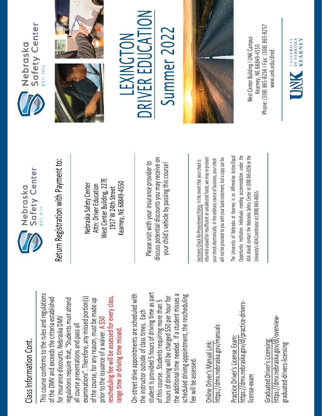## Class Information Cont. Class Information Cont.

This course conforms to the rules and regulations This course conforms to the rules and regulations rescheduling fee will be assessed for every class, examinations". Therefore, any missed portion(s) of the DMV and exceeds the criteria established regulations require that, "Students must attend rescheduling fee will be assessed for every class, of the DMV and exceeds the criteria established examinations". Therefore, any missed portion(s) of the course, for any reason, must be made up regulations require that, "Students must attend of the course, for any reason, must be made up for insurance discounts. Nebraska DMV for insurance discounts. Nebraska DMV prior to the issuance of a waiver. A \$50 all course presentations and pass all all course presentations and pass all range time or driving time missed. range time or driving time missed. prior to the issuance of a waiver.

student is provided 5 hours of driving time as part On-street drive appointments are scheduled with student is provided 5 hours of driving time as part the additional time needed. If a student misses a scheduled driving appointment, the rescheduling the additional time needed. If a student misses a On-street drive appointments are scheduled with hours of driving will be charged \$50 per hour for hours of driving will be charged \$50 per hour for scheduled driving appointment, the rescheduling of this course. Students requiring more than 5 of this course. Students requiring more than 5 the instructor outside of class times. Each the instructor outside of class times. Each fee will be assessed. fee will be assessed

https://dmv.nebraska.gov/manuals https://dmv.nebraska.gov/manuals Online Driver's Manual Link: Online Driver's Manual Link:

https://dmv.nebraska.gov/dl/practice-drivershttps://dmv.nebraska.gov/dl/practice-drivers-Practice Driver's License Exam: Practice Driver's License Exam: license-exam icense-exam

https://dmv.nebraska.gov/dl/overviewhttps://dmv.nebraska.gov/dl/overview-Graduated Driver's Licensing: Graduated Driver's Licensing: graduated-drivers-licensing graduated-drivers-licensing



Nebraska Safety Center Attn: Driver Education West Center Building, 227E 1917 W 24th Street Kearney, NE 68849-4550

Please visit with your insurance provider to discuss potential discounts you may receive on your child's vehicle by passing this course! Return Registration with Payment to:<br>
Nebraska Safety Center<br>
Attn: Driver Education<br>
1917 W 24th Street<br>
Rearney, NE 68849-4550<br>
Rease visit with your insurance provider to<br>
Please visit with your insurance provider to<br>
y

returned unpaid for insufficient or uncollected funds, we may re-present a copy can be. returned unpaid for insufficient or uncollected funds, we may re-present will not be provided to you with your bank statement, but a copy can be. your check electronically. In the ordinary course of business, your check your check electronically. In the ordinary course of business, your check will not be provided to you with your bank statement, but

The University of Nebraska at Kearney is an Affirmative Action/Equal The University of Nebraska at Kearney is an Affirmative Action/Equal Opportunity Institution. Individuals needing accommodation under the ADA should contact the Nebraska Safety Center at (308) 865-8256 or the Opportunity Institution. Individuals needing accommodation under the ADA should contact the Nebraska Safety Center at (308) 865-8256 or the Jniversity's ADA Coordinator at (308) 865-8655. University's ADA Coordinator at (308) 86







 $\sum_{i=1}^{n}$ Summer 2022 LEXINGTON Summer 202 R EDUCA LEXINGTON E RIV **NC** 



Phone: (308) 865-8256 | Fax: (308) 865-8257 West Center Building I UNK Campus Nest Center Building I UNK Campus -8256 I Fax: (308) 865 Kearney, NE 68849-4550 www.unk.edu/dred [www.unk.edu/dred](http://www.unk.edu/dred) Kearney, NE 68849 Phone: (308) 865

UNIVERSITY<br>
OF NEBRASKA<br>
KFARNEY

**KEARNEY**